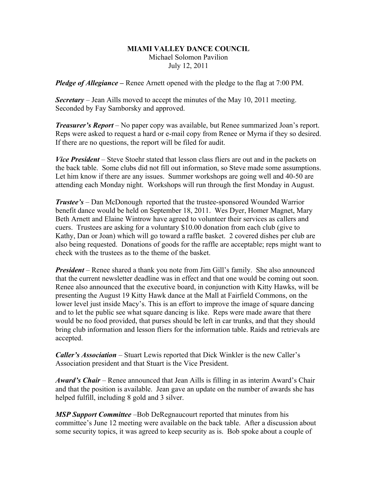## **MIAMI VALLEY DANCE COUNCIL** Michael Solomon Pavilion July 12, 2011

*Pledge of Allegiance –* Renee Arnett opened with the pledge to the flag at 7:00 PM.

*Secretary –* Jean Aills moved to accept the minutes of the May 10, 2011 meeting. Seconded by Fay Samborsky and approved.

*Treasurer's Report* – No paper copy was available, but Renee summarized Joan's report. Reps were asked to request a hard or e-mail copy from Renee or Myrna if they so desired. If there are no questions, the report will be filed for audit.

*Vice President* – Steve Stoehr stated that lesson class fliers are out and in the packets on the back table. Some clubs did not fill out information, so Steve made some assumptions. Let him know if there are any issues. Summer workshops are going well and 40-50 are attending each Monday night. Workshops will run through the first Monday in August.

*Trustee's* – Dan McDonough reported that the trustee-sponsored Wounded Warrior benefit dance would be held on September 18, 2011. Wes Dyer, Homer Magnet, Mary Beth Arnett and Elaine Wintrow have agreed to volunteer their services as callers and cuers. Trustees are asking for a voluntary \$10.00 donation from each club (give to Kathy, Dan or Joan) which will go toward a raffle basket. 2 covered dishes per club are also being requested. Donations of goods for the raffle are acceptable; reps might want to check with the trustees as to the theme of the basket.

*President* – Renee shared a thank you note from Jim Gill's family. She also announced that the current newsletter deadline was in effect and that one would be coming out soon. Renee also announced that the executive board, in conjunction with Kitty Hawks, will be presenting the August 19 Kitty Hawk dance at the Mall at Fairfield Commons, on the lower level just inside Macy's. This is an effort to improve the image of square dancing and to let the public see what square dancing is like. Reps were made aware that there would be no food provided, that purses should be left in car trunks, and that they should bring club information and lesson fliers for the information table. Raids and retrievals are accepted.

*Caller's Association* – Stuart Lewis reported that Dick Winkler is the new Caller's Association president and that Stuart is the Vice President.

*Award's Chair* – Renee announced that Jean Aills is filling in as interim Award's Chair and that the position is available. Jean gave an update on the number of awards she has helped fulfill, including 8 gold and 3 silver.

*MSP Support Committee* –Bob DeRegnaucourt reported that minutes from his committee's June 12 meeting were available on the back table. After a discussion about some security topics, it was agreed to keep security as is. Bob spoke about a couple of